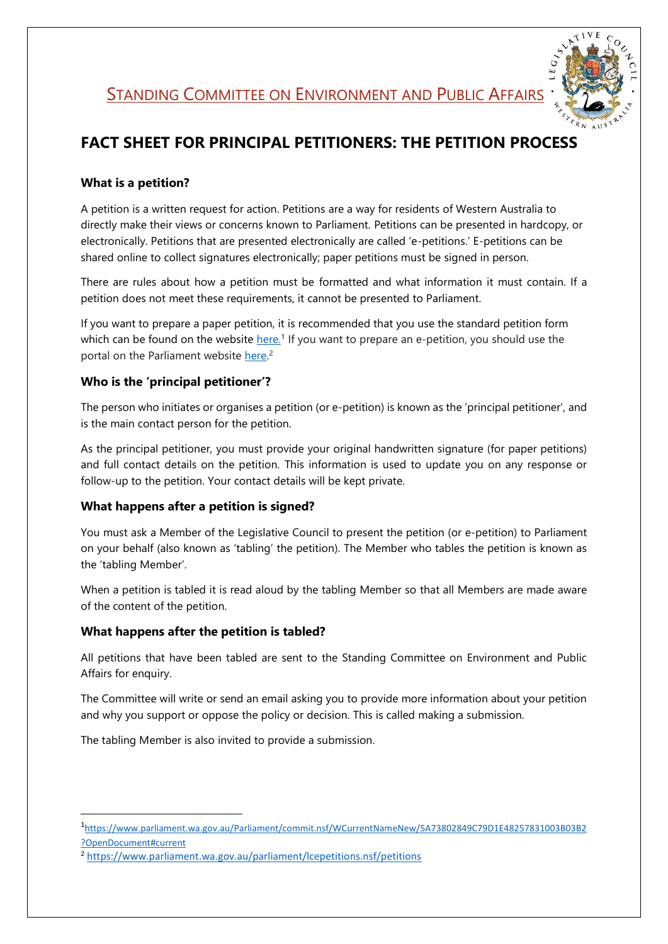**STANDING COMMITTEE ON ENVIRONMENT AND PUBLIC AFFAIRS** 



# **FACT SHEET FOR PRINCIPAL PETITIONERS: THE PETITION PROCESS**

## **What is a petition?**

A petition is a written request for action. Petitions are a way for residents of Western Australia to directly make their views or concerns known to Parliament. Petitions can be presented in hardcopy, or electronically. Petitions that are presented electronically are called 'e-petitions.' E-petitions can be shared online to collect signatures electronically; paper petitions must be signed in person.

There are rules about how a petition must be formatted and what information it must contain. If a petition does not meet these requirements, it cannot be presented to Parliament.

If you want to prepare a paper petition, it is recommended that you use the standard petition form which can be found on the website [here.](https://www.parliament.wa.gov.au/WebCMS/WebCMS.nsf/content/legislative-council-legislative-council-guide-to-petitions)<sup>1</sup> If you want to prepare an e-petition, you should use the portal on the Parliament website [here.](https://www.parliament.wa.gov.au/parliament/lcepetitions.nsf/petitions)<sup>2</sup>

## **Who is the 'principal petitioner'?**

The person who initiates or organises a petition (or e-petition) is known as the 'principal petitioner', and is the main contact person for the petition.

As the principal petitioner, you must provide your original handwritten signature (for paper petitions) and full contact details on the petition. This information is used to update you on any response or follow-up to the petition. Your contact details will be kept private.

## **What happens after a petition is signed?**

You must ask a Member of the Legislative Council to present the petition (or e-petition) to Parliament on your behalf (also known as 'tabling' the petition). The Member who tables the petition is known as the 'tabling Member'.

When a petition is tabled it is read aloud by the tabling Member so that all Members are made aware of the content of the petition.

## **What happens after the petition is tabled?**

**.** 

All petitions that have been tabled are sent to the Standing Committee on Environment and Public Affairs for enquiry.

The Committee will write or send an email asking you to provide more information about your petition and why you support or oppose the policy or decision. This is called making a submission.

The tabling Member is also invited to provide a submission.

<sup>1</sup> [https://www.parliament.wa.gov.au/Parliament/commit.nsf/WCurrentNameNew/5A73802849C79D1E48257831003B03B2](https://www.parliament.wa.gov.au/Parliament/commit.nsf/WCurrentNameNew/5A73802849C79D1E48257831003B03B2?OpenDocument#current) [?OpenDocument#current](https://www.parliament.wa.gov.au/Parliament/commit.nsf/WCurrentNameNew/5A73802849C79D1E48257831003B03B2?OpenDocument#current)

<sup>2</sup> <https://www.parliament.wa.gov.au/parliament/lcepetitions.nsf/petitions>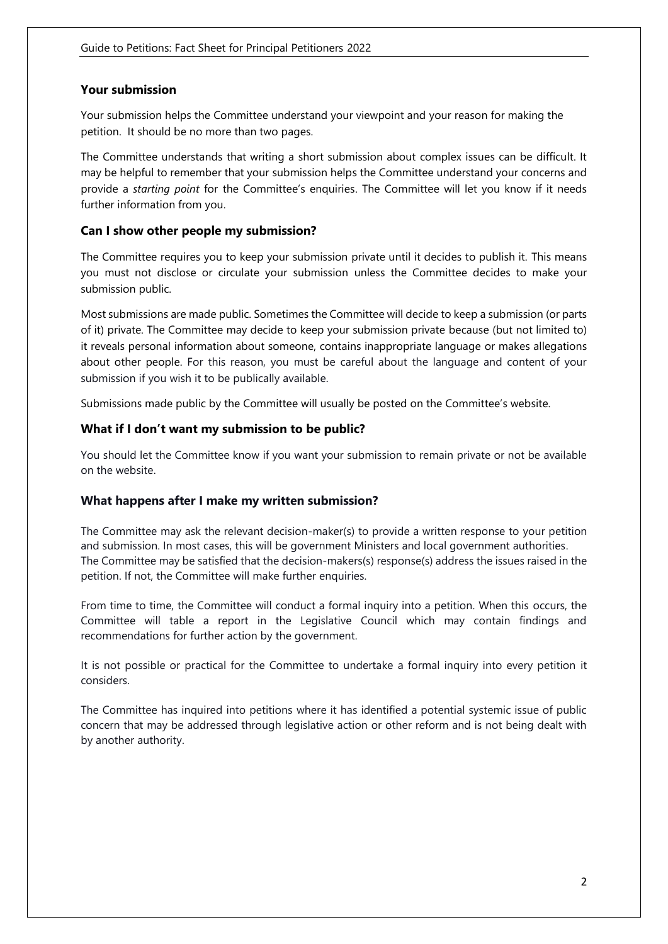#### **Your submission**

Your submission helps the Committee understand your viewpoint and your reason for making the petition. It should be no more than two pages.

The Committee understands that writing a short submission about complex issues can be difficult. It may be helpful to remember that your submission helps the Committee understand your concerns and provide a *starting point* for the Committee's enquiries. The Committee will let you know if it needs further information from you.

#### **Can I show other people my submission?**

The Committee requires you to keep your submission private until it decides to publish it. This means you must not disclose or circulate your submission unless the Committee decides to make your submission public.

Most submissions are made public. Sometimes the Committee will decide to keep a submission (or parts of it) private. The Committee may decide to keep your submission private because (but not limited to) it reveals personal information about someone, contains inappropriate language or makes allegations about other people. For this reason, you must be careful about the language and content of your submission if you wish it to be publically available.

Submissions made public by the Committee will usually be posted on the Committee's website.

#### **What if I don't want my submission to be public?**

You should let the Committee know if you want your submission to remain private or not be available on the website.

#### **What happens after I make my written submission?**

The Committee may ask the relevant decision-maker(s) to provide a written response to your petition and submission. In most cases, this will be government Ministers and local government authorities. The Committee may be satisfied that the decision-makers(s) response(s) address the issues raised in the petition. If not, the Committee will make further enquiries.

From time to time, the Committee will conduct a formal inquiry into a petition. When this occurs, the Committee will table a report in the Legislative Council which may contain findings and recommendations for further action by the government.

It is not possible or practical for the Committee to undertake a formal inquiry into every petition it considers.

The Committee has inquired into petitions where it has identified a potential systemic issue of public concern that may be addressed through legislative action or other reform and is not being dealt with by another authority.